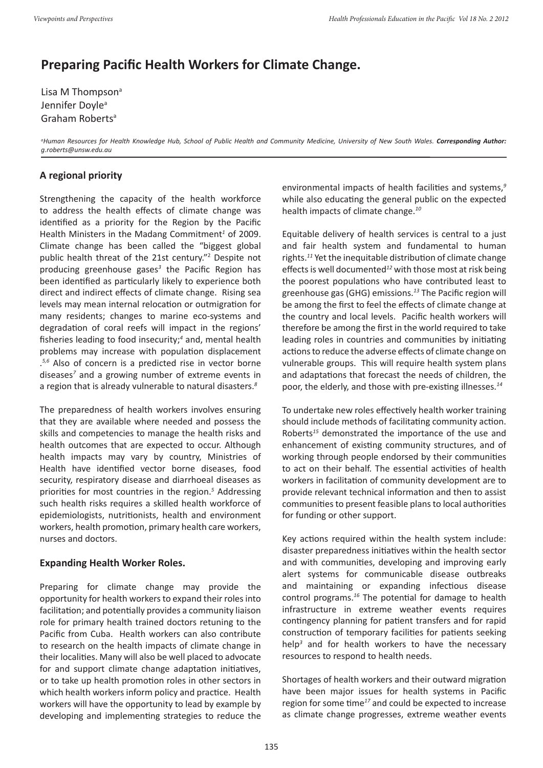## **Preparing Pacific Health Workers for Climate Change.**

Lisa M Thompson<sup>a</sup> Jennifer Doyle<sup>a</sup> Graham Robertsa

*a Human Resources for Health Knowledge Hub, School of Public Health and Community Medicine, University of New South Wales. Corresponding Author: g.roberts@unsw.edu.au*

## **A regional priority**

Strengthening the capacity of the health workforce to address the health effects of climate change was identified as a priority for the Region by the Pacific Health Ministers in the Madang Commitment<sup>1</sup> of 2009. Climate change has been called the "biggest global public health threat of the 21st century."<sup>2</sup> Despite not producing greenhouse gases*<sup>3</sup>* the Pacific Region has been identified as particularly likely to experience both direct and indirect effects of climate change. Rising sea levels may mean internal relocation or outmigration for many residents; changes to marine eco-systems and degradation of coral reefs will impact in the regions' fisheries leading to food insecurity;*<sup>4</sup>* and, mental health problems may increase with population displacement . *5,6* Also of concern is a predicted rise in vector borne diseases*<sup>7</sup>* and a growing number of extreme events in a region that is already vulnerable to natural disasters.*<sup>8</sup>*

The preparedness of health workers involves ensuring that they are available where needed and possess the skills and competencies to manage the health risks and health outcomes that are expected to occur. Although health impacts may vary by country, Ministries of Health have identified vector borne diseases, food security, respiratory disease and diarrhoeal diseases as priorities for most countries in the region.*<sup>5</sup>* Addressing such health risks requires a skilled health workforce of epidemiologists, nutritionists, health and environment workers, health promotion, primary health care workers, nurses and doctors.

### **Expanding Health Worker Roles.**

Preparing for climate change may provide the opportunity for health workers to expand their roles into facilitation; and potentially provides a community liaison role for primary health trained doctors retuning to the Pacific from Cuba. Health workers can also contribute to research on the health impacts of climate change in their localities. Many will also be well placed to advocate for and support climate change adaptation initiatives, or to take up health promotion roles in other sectors in which health workers inform policy and practice. Health workers will have the opportunity to lead by example by developing and implementing strategies to reduce the environmental impacts of health facilities and systems,*<sup>9</sup>* while also educating the general public on the expected health impacts of climate change.*<sup>10</sup>*

Equitable delivery of health services is central to a just and fair health system and fundamental to human rights.*<sup>11</sup>* Yet the inequitable distribution of climate change effects is well documented*<sup>12</sup>* with those most at risk being the poorest populations who have contributed least to greenhouse gas (GHG) emissions.*<sup>13</sup>* The Pacific region will be among the first to feel the effects of climate change at the country and local levels. Pacific health workers will therefore be among the first in the world required to take leading roles in countries and communities by initiating actions to reduce the adverse effects of climate change on vulnerable groups. This will require health system plans and adaptations that forecast the needs of children, the poor, the elderly, and those with pre-existing illnesses.*<sup>14</sup>*

To undertake new roles effectively health worker training should include methods of facilitating community action. Roberts*<sup>15</sup>* demonstrated the importance of the use and enhancement of existing community structures, and of working through people endorsed by their communities to act on their behalf. The essential activities of health workers in facilitation of community development are to provide relevant technical information and then to assist communities to present feasible plans to local authorities for funding or other support.

Key actions required within the health system include: disaster preparedness initiatives within the health sector and with communities, developing and improving early alert systems for communicable disease outbreaks and maintaining or expanding infectious disease control programs.*<sup>16</sup>* The potential for damage to health infrastructure in extreme weather events requires contingency planning for patient transfers and for rapid construction of temporary facilities for patients seeking help*<sup>3</sup>* and for health workers to have the necessary resources to respond to health needs.

Shortages of health workers and their outward migration have been major issues for health systems in Pacific region for some time*<sup>17</sup>* and could be expected to increase as climate change progresses, extreme weather events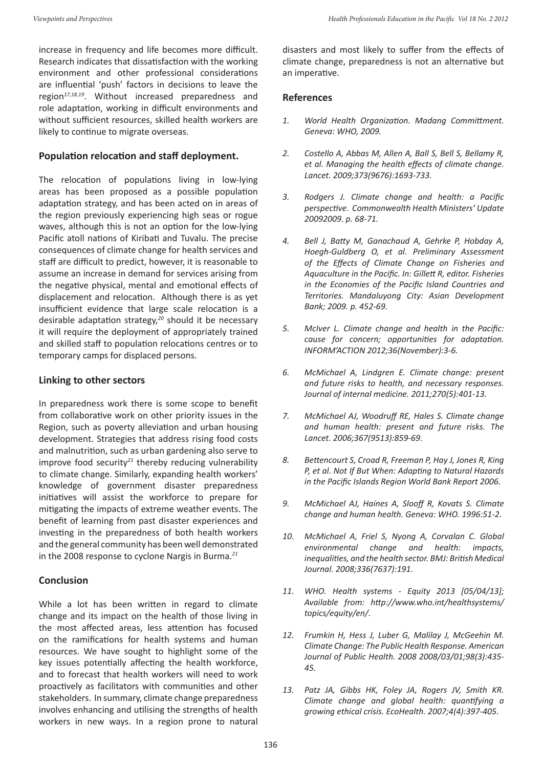increase in frequency and life becomes more difficult. Research indicates that dissatisfaction with the working environment and other professional considerations are influential 'push' factors in decisions to leave the region*17,18,19*. Without increased preparedness and role adaptation, working in difficult environments and without sufficient resources, skilled health workers are likely to continue to migrate overseas.

#### **Population relocation and staff deployment.**

The relocation of populations living in low-lying areas has been proposed as a possible population adaptation strategy, and has been acted on in areas of the region previously experiencing high seas or rogue waves, although this is not an option for the low-lying Pacific atoll nations of Kiribati and Tuvalu. The precise consequences of climate change for health services and staff are difficult to predict, however, it is reasonable to assume an increase in demand for services arising from the negative physical, mental and emotional effects of displacement and relocation. Although there is as yet insufficient evidence that large scale relocation is a desirable adaptation strategy,*<sup>20</sup>* should it be necessary it will require the deployment of appropriately trained and skilled staff to population relocations centres or to temporary camps for displaced persons.

#### **Linking to other sectors**

In preparedness work there is some scope to benefit from collaborative work on other priority issues in the Region, such as poverty alleviation and urban housing development. Strategies that address rising food costs and malnutrition, such as urban gardening also serve to improve food security*<sup>21</sup>* thereby reducing vulnerability to climate change. Similarly, expanding health workers' knowledge of government disaster preparedness initiatives will assist the workforce to prepare for mitigating the impacts of extreme weather events. The benefit of learning from past disaster experiences and investing in the preparedness of both health workers and the general community has been well demonstrated in the 2008 response to cyclone Nargis in Burma.*<sup>21</sup>*

#### **Conclusion**

While a lot has been written in regard to climate change and its impact on the health of those living in the most affected areas, less attention has focused on the ramifications for health systems and human resources. We have sought to highlight some of the key issues potentially affecting the health workforce, and to forecast that health workers will need to work proactively as facilitators with communities and other stakeholders. In summary, climate change preparedness involves enhancing and utilising the strengths of health workers in new ways. In a region prone to natural

disasters and most likely to suffer from the effects of climate change, preparedness is not an alternative but an imperative.

#### **References**

- *1. World Health Organization. Madang Committment. Geneva: WHO, 2009.*
- *2. Costello A, Abbas M, Allen A, Ball S, Bell S, Bellamy R, et al. Managing the health effects of climate change. Lancet. 2009;373(9676):1693-733.*
- *3. Rodgers J. Climate change and health: a Pacific perspective. Commonwealth Health Ministers' Update 20092009. p. 68-71.*
- *4. Bell J, Batty M, Ganachaud A, Gehrke P, Hobday A, Hoegh-Guldberg O, et al. Preliminary Assessment of the Effects of Climate Change on Fisheries and Aquaculture in the Pacific. In: Gillett R, editor. Fisheries in the Economies of the Pacific Island Countries and Territories. Mandaluyong City: Asian Development Bank; 2009. p. 452-69.*
- *5. McIver L. Climate change and health in the Pacific: cause for concern; opportunities for adaptation. INFORM'ACTION 2012;36(November):3-6.*
- *6. McMichael A, Lindgren E. Climate change: present and future risks to health, and necessary responses. Journal of internal medicine. 2011;270(5):401-13.*
- *7. McMichael AJ, Woodruff RE, Hales S. Climate change and human health: present and future risks. The Lancet. 2006;367(9513):859-69.*
- *8. Bettencourt S, Croad R, Freeman P, Hay J, Jones R, King P, et al. Not If But When: Adapting to Natural Hazards in the Pacific Islands Region World Bank Report 2006.*
- *9. McMichael AJ, Haines A, Slooff R, Kovats S. Climate change and human health. Geneva: WHO. 1996:51-2.*
- *10. McMichael A, Friel S, Nyong A, Corvalan C. Global environmental change and health: impacts, inequalities, and the health sector. BMJ: British Medical Journal. 2008;336(7637):191.*
- *11. WHO. Health systems Equity 2013 [05/04/13]; Available from: http://www.who.int/healthsystems/ topics/equity/en/.*
- *12. Frumkin H, Hess J, Luber G, Malilay J, McGeehin M. Climate Change: The Public Health Response. American Journal of Public Health. 2008 2008/03/01;98(3):435- 45.*
- *13. Patz JA, Gibbs HK, Foley JA, Rogers JV, Smith KR. Climate change and global health: quantifying a growing ethical crisis. EcoHealth. 2007;4(4):397-405.*